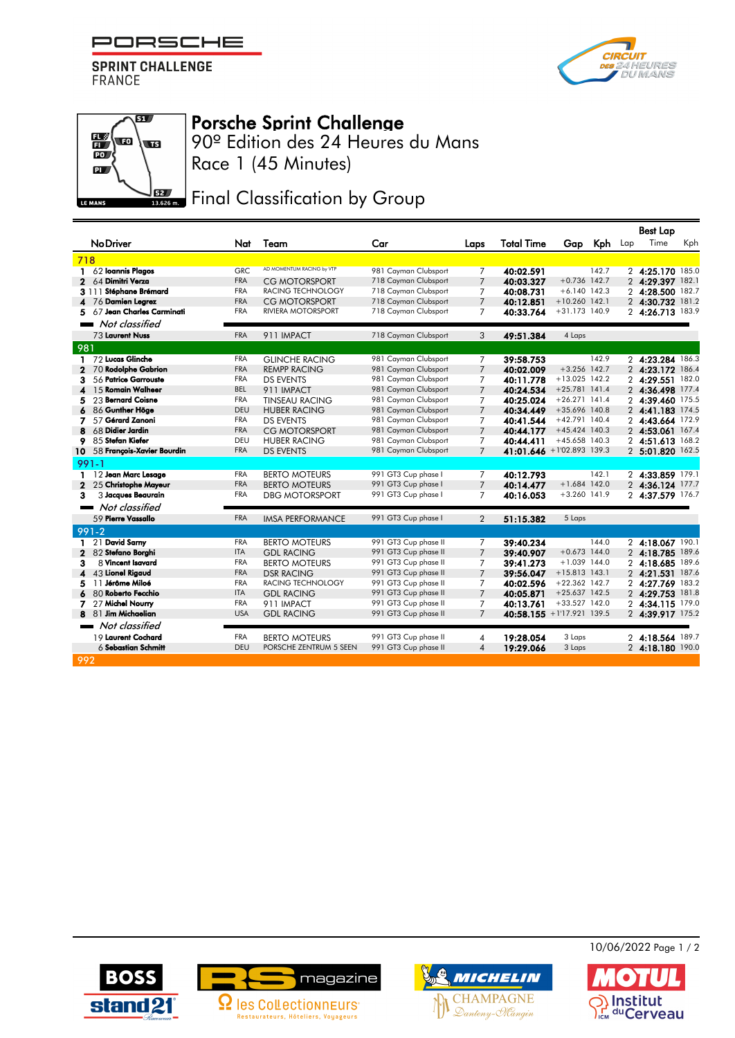PORSCHE

**SPRINT CHALLENGE FRANCE** 





## Porsche Sprint Challenge

90º Edition des 24 Heures du Mans Race 1 (45 Minutes)

## **JEZ** Final Classification by Group

|                  |                                   |            |                           |                      |                |                   |                           |       |     | <b>Best Lap</b>  |     |
|------------------|-----------------------------------|------------|---------------------------|----------------------|----------------|-------------------|---------------------------|-------|-----|------------------|-----|
|                  | <b>No Driver</b>                  | Nat        | Team                      | Car                  | Laps           | <b>Total Time</b> | Gap Kph                   |       | Lap | Time             | Kph |
|                  | 718                               |            |                           |                      |                |                   |                           |       |     |                  |     |
| 1.               | 62 Ioannis Plagos                 | GRC        | AD MOMENTUM RACING by VTP | 981 Cayman Clubsport | 7              | 40:02.591         |                           | 142.7 |     | 2 4:25.170 185.0 |     |
| $\mathbf 2$      | 64 Dimitri Verza                  | <b>FRA</b> | <b>CG MOTORSPORT</b>      | 718 Cayman Clubsport | $\overline{7}$ | 40:03.327         | $+0.736$ 142.7            |       |     | 2 4:29.397 182.1 |     |
|                  | 3 111 Stéphane Brémard            | <b>FRA</b> | RACING TECHNOLOGY         | 718 Cayman Clubsport | 7              | 40:08.731         | $+6.140$ 142.3            |       |     | 2 4:28.500 182.7 |     |
|                  | 76 Damien Legrez                  | <b>FRA</b> | CG MOTORSPORT             | 718 Cayman Clubsport | $\overline{7}$ | 40:12.851         | $+10.260$ 142.1           |       |     | 2 4:30.732 181.2 |     |
| 5                | 67 Jean Charles Carminati         | <b>FRA</b> | <b>RIVIERA MOTORSPORT</b> | 718 Cayman Clubsport | 7              | 40:33.764         | +31.173 140.9             |       |     | 2 4:26.713 183.9 |     |
|                  | Not classified                    |            |                           |                      |                |                   |                           |       |     |                  |     |
|                  | 73 Laurent Nuss                   | <b>FRA</b> | 911 IMPACT                | 718 Cayman Clubsport | 3              | 49:51.384         | 4 Laps                    |       |     |                  |     |
| 981              |                                   |            |                           |                      |                |                   |                           |       |     |                  |     |
| 1                | 72 Lucas Glinche                  | <b>FRA</b> | <b>GLINCHE RACING</b>     | 981 Cayman Clubsport | 7              | 39:58.753         |                           | 142.9 |     | 2 4:23.284 186.3 |     |
| 2                | 70 Rodolphe Gabrion               | <b>FRA</b> | <b>REMPP RACING</b>       | 981 Cayman Clubsport | $\overline{7}$ | 40:02.009         | $+3.256$ 142.7            |       |     | 2 4:23.172 186.4 |     |
| 3                | 56 Patrice Garrouste              | <b>FRA</b> | <b>DS EVENTS</b>          | 981 Cayman Clubsport | 7              | 40:11.778         | $+13.025$ 142.2           |       |     | 2 4:29.551 182.0 |     |
| $\blacktriangle$ | 15 Romain Walheer                 | <b>BEL</b> | 911 IMPACT                | 981 Cayman Clubsport | $\overline{7}$ | 40:24.534         | $+25.781$ 141.4           |       |     | 2 4:36.498 177.4 |     |
| 5                | 23 Bernard Coisne                 | <b>FRA</b> | <b>TINSEAU RACING</b>     | 981 Cayman Clubsport | 7              | 40:25.024         | $+26.271$ 141.4           |       |     | 2 4:39.460 175.5 |     |
|                  | 86 Gunther Höge                   | <b>DEU</b> | <b>HUBER RACING</b>       | 981 Cayman Clubsport | $\overline{7}$ | 40:34.449         | $+35.696$ 140.8           |       |     | 2 4:41.183 174.5 |     |
| 7                | 57 Gérard Zanoni                  | FRA        | <b>DS EVENTS</b>          | 981 Cayman Clubsport | 7              | 40:41.544         | $+42.791$ 140.4           |       |     | 2 4:43.664 172.9 |     |
| 8                | 68 Didier Jardin                  | <b>FRA</b> | <b>CG MOTORSPORT</b>      | 981 Cayman Clubsport | $\overline{7}$ | 40:44.177         | $+45.424$ 140.3           |       |     | 2 4:53.061 167.4 |     |
| 9                | 85 Stefan Kiefer                  | DEU        | <b>HUBER RACING</b>       | 981 Cayman Clubsport | 7              | 40:44.411         | $+45.658$ 140.3           |       |     | 2 4:51.613 168.2 |     |
| 10               | 58 François-Xavier Bourdin        | <b>FRA</b> | <b>DS EVENTS</b>          | 981 Cayman Clubsport | $\overline{7}$ |                   | 41:01.646 +1'02.893 139.3 |       |     | 2 5:01.820 162.5 |     |
|                  | $991 - 1$                         |            |                           |                      |                |                   |                           |       |     |                  |     |
| 1.               | 12 Jean Marc Lesage               | <b>FRA</b> | <b>BERTO MOTEURS</b>      | 991 GT3 Cup phase I  | 7              | 40:12.793         |                           | 142.1 |     | 2 4:33.859 179.1 |     |
| $\mathbf{2}$     | 25 Christophe Mayeur              | <b>FRA</b> | <b>BERTO MOTEURS</b>      | 991 GT3 Cup phase I  | $\overline{7}$ | 40:14.477         | $+1.684$ 142.0            |       |     | 2 4:36.124 177.7 |     |
| 3                | 3 Jacques Beaurain                | <b>FRA</b> | <b>DBG MOTORSPORT</b>     | 991 GT3 Cup phase I  | $\overline{7}$ | 40:16.053         | $+3.260$ 141.9            |       |     | 2 4:37.579 176.7 |     |
|                  | Not classified<br><b>The Co</b>   |            |                           |                      |                |                   |                           |       |     |                  |     |
|                  | 59 Pierre Vassallo                | <b>FRA</b> | <b>IMSA PERFORMANCE</b>   | 991 GT3 Cup phase I  | $\overline{2}$ | 51:15.382         | 5 Laps                    |       |     |                  |     |
|                  | $991-2$                           |            |                           |                      |                |                   |                           |       |     |                  |     |
|                  | 21 David Sarny                    | <b>FRA</b> | <b>BERTO MOTEURS</b>      | 991 GT3 Cup phase II | 7              | 39:40.234         |                           | 144.0 |     | 2 4:18.067 190.1 |     |
| 2                | 82 Stefano Borghi                 | <b>ITA</b> | <b>GDL RACING</b>         | 991 GT3 Cup phase II | $\overline{7}$ | 39:40.907         | $+0.673$ 144.0            |       |     | 2 4:18.785 189.6 |     |
| 3                | 8 Vincent Isavard                 | <b>FRA</b> | <b>BERTO MOTEURS</b>      | 991 GT3 Cup phase II | 7              | 39:41.273         | $+1.039$ 144.0            |       |     | 2 4:18.685 189.6 |     |
| 4                | 43 Lionel Rigaud                  | <b>FRA</b> | <b>DSR RACING</b>         | 991 GT3 Cup phase II | $\overline{7}$ | 39:56.047         | $+15.813$ 143.1           |       |     | 2 4:21.531 187.6 |     |
| 5                | 11 Jérôme Miloé                   | <b>FRA</b> | RACING TECHNOLOGY         | 991 GT3 Cup phase II | 7              | 40:02.596         | $+22.362$ 142.7           |       |     | 2 4:27.769 183.2 |     |
|                  | 80 Roberto Fecchio                | <b>ITA</b> | <b>GDL RACING</b>         | 991 GT3 Cup phase II | $\overline{7}$ | 40:05.871         | $+25.637$ 142.5           |       |     | 2 4:29.753 181.8 |     |
| 7                | 27 Michel Nourry                  | <b>FRA</b> | 911 IMPACT                | 991 GT3 Cup phase II | 7              | 40:13.761         | $+33.527$ 142.0           |       |     | 2 4:34.115 179.0 |     |
| 8                | 81 Jim Michaelian                 | <b>USA</b> | <b>GDL RACING</b>         | 991 GT3 Cup phase II | $\overline{7}$ |                   | 40:58.155 +1'17.921 139.5 |       |     | 2 4:39.917 175.2 |     |
|                  | Not classified<br><b>Contract</b> |            |                           |                      |                |                   |                           |       |     |                  |     |
|                  | 19 Laurent Cochard                | <b>FRA</b> | <b>BERTO MOTEURS</b>      | 991 GT3 Cup phase II | 4              | 19:28.054         | 3 Laps                    |       |     | 2 4:18.564 189.7 |     |
|                  | $6$ Sebastian Schmitt             | <b>DEU</b> | PORSCHE ZENTRUM 5 SEEN    | 991 GT3 Cup phase II | $\overline{4}$ | 19:29.066         | 3 Laps                    |       |     | 2 4:18.180 190.0 |     |
|                  | 992                               |            |                           |                      |                |                   |                           |       |     |                  |     |







10/06/2022 Page 1 / 2